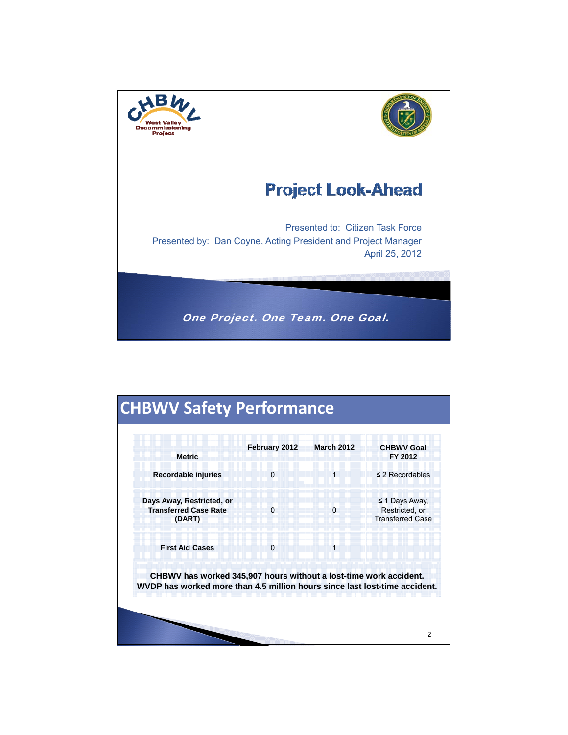

# **CHBWV Safety Performance**

| <b>Metric</b>                                                                                                                                   | February 2012 | <b>March 2012</b> | <b>CHBWV Goal</b><br>FY 2012                                     |  |  |
|-------------------------------------------------------------------------------------------------------------------------------------------------|---------------|-------------------|------------------------------------------------------------------|--|--|
| Recordable injuries                                                                                                                             | $\Omega$      | $\mathbf 1$       | $\leq$ 2 Recordables                                             |  |  |
| Days Away, Restricted, or<br><b>Transferred Case Rate</b><br>(DART)                                                                             | $\Omega$      | $\Omega$          | $\leq$ 1 Days Away,<br>Restricted, or<br><b>Transferred Case</b> |  |  |
| <b>First Aid Cases</b>                                                                                                                          | $\Omega$      | 1                 |                                                                  |  |  |
| CHBWV has worked 345,907 hours without a lost-time work accident.<br>WVDP has worked more than 4.5 million hours since last lost-time accident. |               |                   |                                                                  |  |  |

2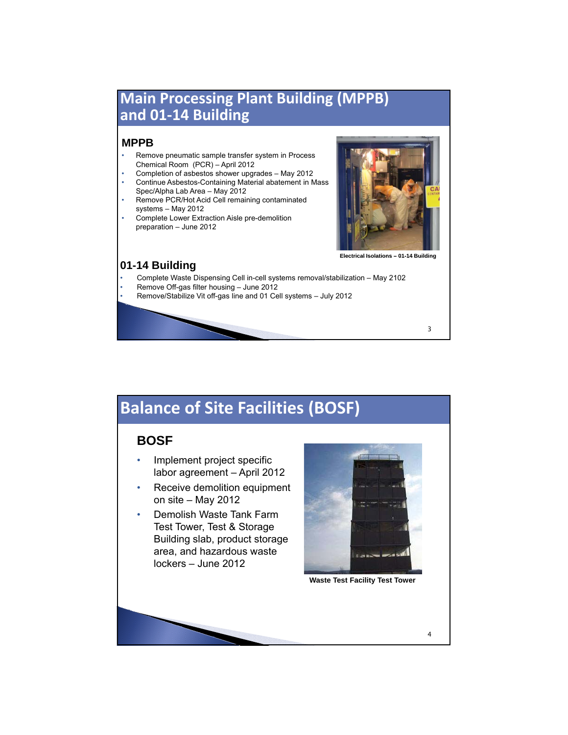## **Main Processing Plant Building (MPPB) and 01‐14 Building**

#### **MPPB**

- Remove pneumatic sample transfer system in Process Chemical Room (PCR) – April 2012
- Completion of asbestos shower upgrades May 2012 • Continue Asbestos-Containing Material abatement in Mass
- Spec/Alpha Lab Area May 2012 Remove PCR/Hot Acid Cell remaining contaminated
- systems May 2012 • Complete Lower Extraction Aisle pre-demolition
- preparation June 2012



**Electrical Isolations – 01-14 Building Electrical –01-14**

3

#### **01-14 Building**

- Complete Waste Dispensing Cell in-cell systems removal/stabilization May 2102
- Remove Off-gas filter housing June 2012
- Remove/Stabilize Vit off-gas line and 01 Cell systems July 2012

## **Balance of Site Facilities (BOSF)**

### **BOSF**

- Implement project specific labor agreement – April 2012
- Receive demolition equipment on site – May 2012
- Demolish Waste Tank Farm Test Tower, Test & Storage Building slab, product storage area, and hazardous waste lockers – June 2012



**Waste Test Facility Test Tower**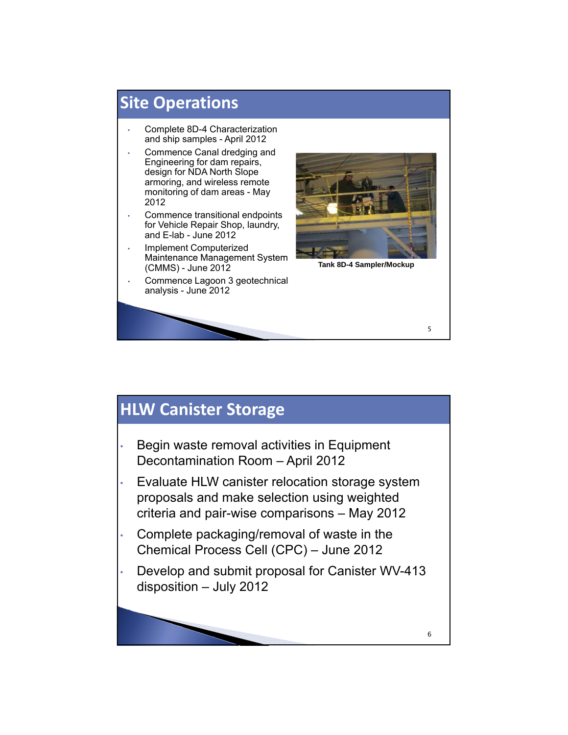

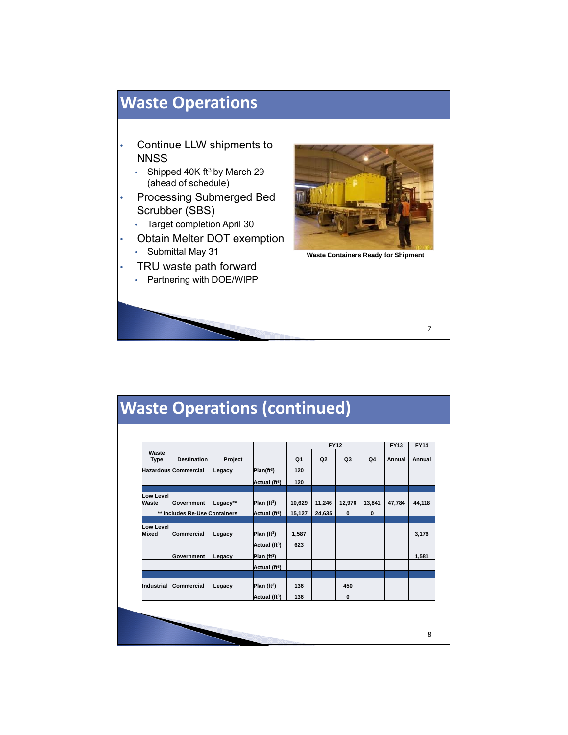

|                               |                             |                           |                           |        | <b>FY12</b>    |          |        | <b>FY13</b> | <b>FY14</b> |
|-------------------------------|-----------------------------|---------------------------|---------------------------|--------|----------------|----------|--------|-------------|-------------|
| Waste<br><b>Type</b>          | <b>Destination</b>          | Project                   |                           | Q1     | Q <sub>2</sub> | Q3       | Q4     | Annual      | Annual      |
|                               | <b>Hazardous Commercial</b> | Legacy                    | Plan(f <sup>t3</sup> )    | 120    |                |          |        |             |             |
|                               |                             |                           | Actual (ft <sup>3</sup> ) | 120    |                |          |        |             |             |
| Low Level<br>Waste            | Government                  | Legacy**                  | Plan ( $ft3$ )            | 10,629 | 11,246         | 12.976   | 13.841 | 47.784      | 44.118      |
| ** Includes Re-Use Containers |                             | Actual (ft <sup>3</sup> ) | 15,127                    | 24,635 | $\mathbf{0}$   | $\bf{0}$ |        |             |             |
| <b>Low Level</b><br>Mixed     | Commercial                  | Legacy                    | Plan ( $ft3$ )            | 1,587  |                |          |        |             | 3,176       |
|                               |                             |                           | Actual (ft <sup>3</sup> ) | 623    |                |          |        |             |             |
|                               | Government                  | Legacy                    | Plan $(ft3)$              |        |                |          |        |             | 1,581       |
|                               |                             |                           | Actual (ft <sup>3</sup> ) |        |                |          |        |             |             |
| Industrial                    | <b>Commercial</b>           | Legacy                    | Plan $(ft3)$              | 136    |                | 450      |        |             |             |
|                               |                             |                           | Actual (ft <sup>3</sup> ) | 136    |                | $\bf{0}$ |        |             |             |